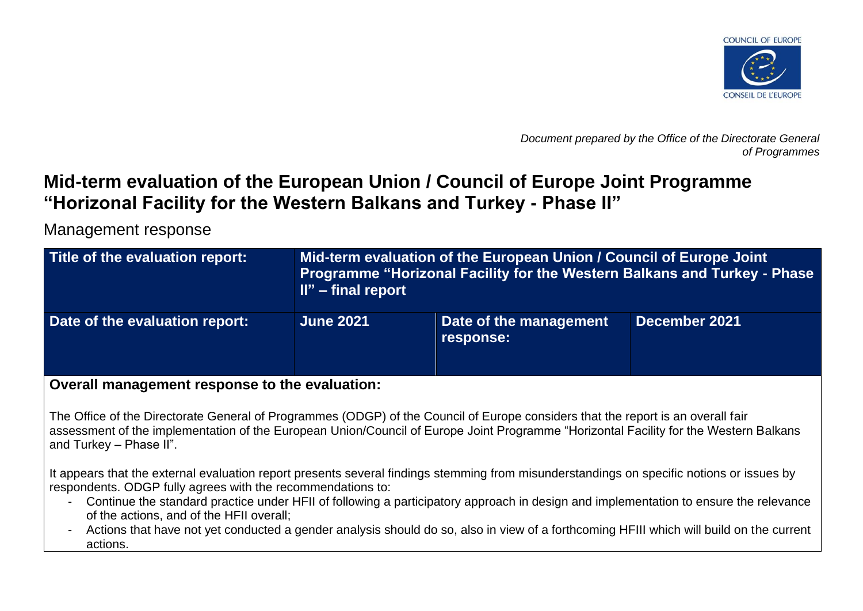

*Document prepared by the Office of the Directorate General of Programmes*

# **Mid-term evaluation of the European Union / Council of Europe Joint Programme "Horizonal Facility for the Western Balkans and Turkey - Phase II"**

Management response

| Title of the evaluation report: | Mid-term evaluation of the European Union / Council of Europe Joint<br>Programme "Horizonal Facility for the Western Balkans and Turkey - Phase<br>$II"$ – final report |                                     |               |
|---------------------------------|-------------------------------------------------------------------------------------------------------------------------------------------------------------------------|-------------------------------------|---------------|
| Date of the evaluation report:  | <b>June 2021</b>                                                                                                                                                        | Date of the management<br>response: | December 2021 |

**Overall management response to the evaluation:**

The Office of the Directorate General of Programmes (ODGP) of the Council of Europe considers that the report is an overall fair assessment of the implementation of the European Union/Council of Europe Joint Programme "Horizontal Facility for the Western Balkans and Turkey – Phase II".

It appears that the external evaluation report presents several findings stemming from misunderstandings on specific notions or issues by respondents. ODGP fully agrees with the recommendations to:

- Continue the standard practice under HFII of following a participatory approach in design and implementation to ensure the relevance of the actions, and of the HFII overall;
- Actions that have not yet conducted a gender analysis should do so, also in view of a forthcoming HFIII which will build on the current actions.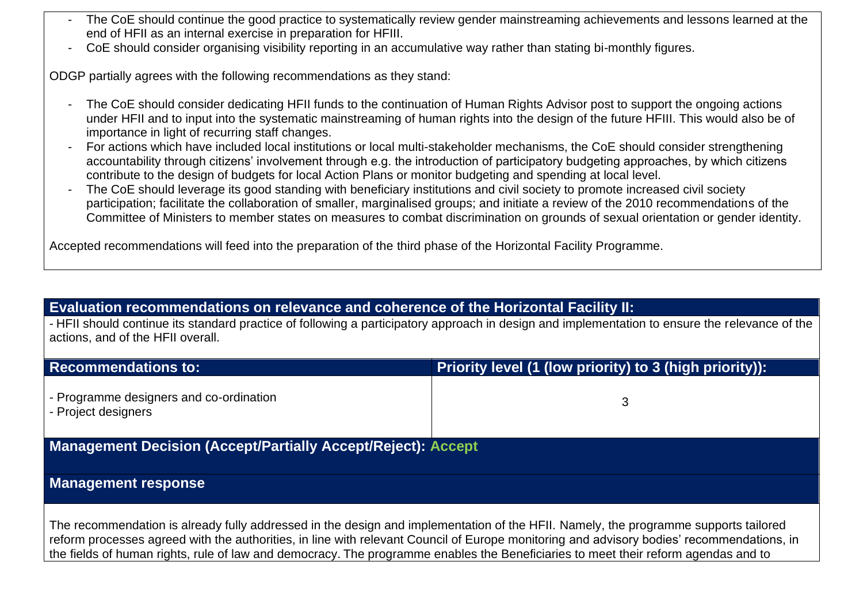- The CoE should continue the good practice to systematically review gender mainstreaming achievements and lessons learned at the end of HFII as an internal exercise in preparation for HFIII.
- CoE should consider organising visibility reporting in an accumulative way rather than stating bi-monthly figures.

ODGP partially agrees with the following recommendations as they stand:

- The CoE should consider dedicating HFII funds to the continuation of Human Rights Advisor post to support the ongoing actions under HFII and to input into the systematic mainstreaming of human rights into the design of the future HFIII. This would also be of importance in light of recurring staff changes.
- For actions which have included local institutions or local multi-stakeholder mechanisms, the CoE should consider strengthening accountability through citizens' involvement through e.g. the introduction of participatory budgeting approaches, by which citizens contribute to the design of budgets for local Action Plans or monitor budgeting and spending at local level.
- The CoE should leverage its good standing with beneficiary institutions and civil society to promote increased civil society participation; facilitate the collaboration of smaller, marginalised groups; and initiate a review of the 2010 recommendations of the Committee of Ministers to member states on measures to combat discrimination on grounds of sexual orientation or gender identity.

Accepted recommendations will feed into the preparation of the third phase of the Horizontal Facility Programme.

## **Evaluation recommendations on relevance and coherence of the Horizontal Facility II:**

- HFII should continue its standard practice of following a participatory approach in design and implementation to ensure the relevance of the actions, and of the HFII overall.

| <b>Recommendations to:</b>                                                                                                                                                                                                                                                                                                                                                                                             | Priority level (1 (low priority) to 3 (high priority)): |  |
|------------------------------------------------------------------------------------------------------------------------------------------------------------------------------------------------------------------------------------------------------------------------------------------------------------------------------------------------------------------------------------------------------------------------|---------------------------------------------------------|--|
| - Programme designers and co-ordination<br>- Project designers                                                                                                                                                                                                                                                                                                                                                         | 3                                                       |  |
| <b>Management Decision (Accept/Partially Accept/Reject): Accept</b>                                                                                                                                                                                                                                                                                                                                                    |                                                         |  |
| <b>Management response</b>                                                                                                                                                                                                                                                                                                                                                                                             |                                                         |  |
| The recommendation is already fully addressed in the design and implementation of the HFII. Namely, the programme supports tailored<br>reform processes agreed with the authorities, in line with relevant Council of Europe monitoring and advisory bodies' recommendations, in<br>the fields of human rights, rule of law and democracy. The programme enables the Beneficiaries to meet their reform agendas and to |                                                         |  |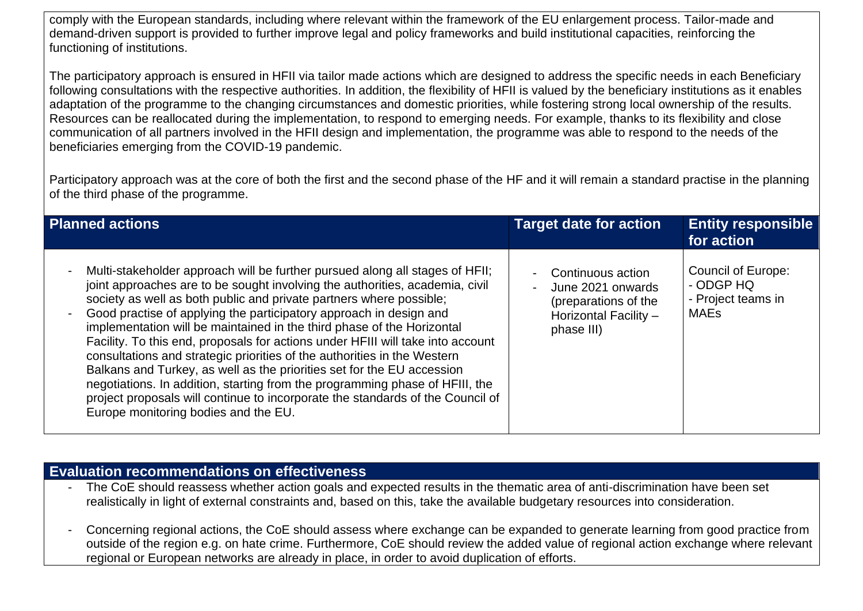comply with the European standards, including where relevant within the framework of the EU enlargement process. Tailor-made and demand-driven support is provided to further improve legal and policy frameworks and build institutional capacities, reinforcing the functioning of institutions.

The participatory approach is ensured in HFII via tailor made actions which are designed to address the specific needs in each Beneficiary following consultations with the respective authorities. In addition, the flexibility of HFII is valued by the beneficiary institutions as it enables adaptation of the programme to the changing circumstances and domestic priorities, while fostering strong local ownership of the results. Resources can be reallocated during the implementation, to respond to emerging needs. For example, thanks to its flexibility and close communication of all partners involved in the HFII design and implementation, the programme was able to respond to the needs of the beneficiaries emerging from the COVID-19 pandemic.

Participatory approach was at the core of both the first and the second phase of the HF and it will remain a standard practise in the planning of the third phase of the programme.

| <b>Planned actions</b>                                                                                                                                                                                                                                                                                                                                                                                                                                                                                                                                                                                                                                                                                                                                                                                                                 | <b>Target date for action</b>                                                                         | <b>Entity responsible</b><br>for action                                     |
|----------------------------------------------------------------------------------------------------------------------------------------------------------------------------------------------------------------------------------------------------------------------------------------------------------------------------------------------------------------------------------------------------------------------------------------------------------------------------------------------------------------------------------------------------------------------------------------------------------------------------------------------------------------------------------------------------------------------------------------------------------------------------------------------------------------------------------------|-------------------------------------------------------------------------------------------------------|-----------------------------------------------------------------------------|
| Multi-stakeholder approach will be further pursued along all stages of HFII;<br>joint approaches are to be sought involving the authorities, academia, civil<br>society as well as both public and private partners where possible;<br>Good practise of applying the participatory approach in design and<br>implementation will be maintained in the third phase of the Horizontal<br>Facility. To this end, proposals for actions under HFIII will take into account<br>consultations and strategic priorities of the authorities in the Western<br>Balkans and Turkey, as well as the priorities set for the EU accession<br>negotiations. In addition, starting from the programming phase of HFIII, the<br>project proposals will continue to incorporate the standards of the Council of<br>Europe monitoring bodies and the EU. | Continuous action<br>June 2021 onwards<br>(preparations of the<br>Horizontal Facility -<br>phase III) | <b>Council of Europe:</b><br>- ODGP HQ<br>- Project teams in<br><b>MAEs</b> |

## **Evaluation recommendations on effectiveness**

- The CoE should reassess whether action goals and expected results in the thematic area of anti-discrimination have been set realistically in light of external constraints and, based on this, take the available budgetary resources into consideration.
- Concerning regional actions, the CoE should assess where exchange can be expanded to generate learning from good practice from outside of the region e.g. on hate crime. Furthermore, CoE should review the added value of regional action exchange where relevant regional or European networks are already in place, in order to avoid duplication of efforts.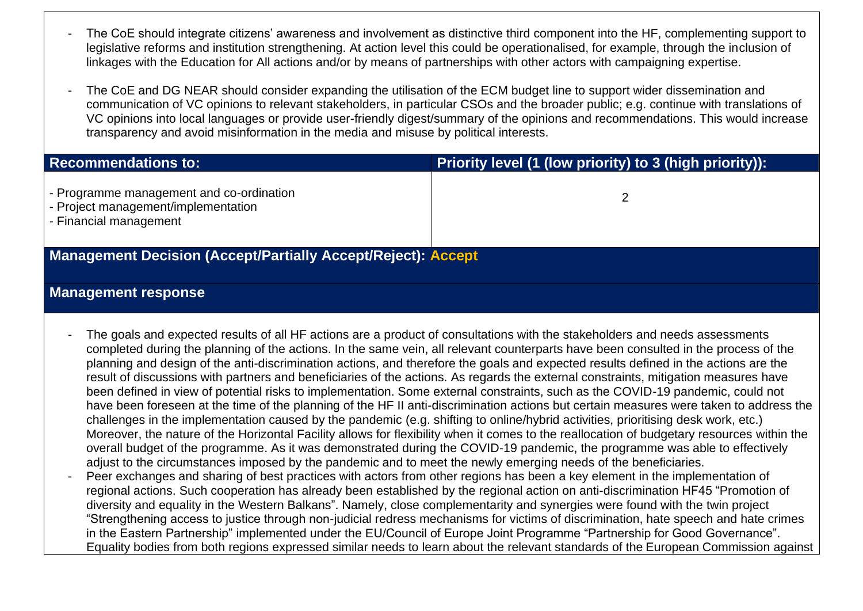- The CoE should integrate citizens' awareness and involvement as distinctive third component into the HF, complementing support to legislative reforms and institution strengthening. At action level this could be operationalised, for example, through the inclusion of linkages with the Education for All actions and/or by means of partnerships with other actors with campaigning expertise.
- The CoE and DG NEAR should consider expanding the utilisation of the ECM budget line to support wider dissemination and communication of VC opinions to relevant stakeholders, in particular CSOs and the broader public; e.g. continue with translations of VC opinions into local languages or provide user-friendly digest/summary of the opinions and recommendations. This would increase transparency and avoid misinformation in the media and misuse by political interests.

| <b>Recommendations to:</b>                                                                                | Priority level (1 (low priority) to 3 (high priority)): |  |
|-----------------------------------------------------------------------------------------------------------|---------------------------------------------------------|--|
| - Programme management and co-ordination<br>- Project management/implementation<br>- Financial management |                                                         |  |
| <b>Management Decision (Accept/Partially Accept/Reject): Accept</b>                                       |                                                         |  |

#### **Management response**

- The goals and expected results of all HF actions are a product of consultations with the stakeholders and needs assessments completed during the planning of the actions. In the same vein, all relevant counterparts have been consulted in the process of the planning and design of the anti-discrimination actions, and therefore the goals and expected results defined in the actions are the result of discussions with partners and beneficiaries of the actions. As regards the external constraints, mitigation measures have been defined in view of potential risks to implementation. Some external constraints, such as the COVID-19 pandemic, could not have been foreseen at the time of the planning of the HF II anti-discrimination actions but certain measures were taken to address the challenges in the implementation caused by the pandemic (e.g. shifting to online/hybrid activities, prioritising desk work, etc.) Moreover, the nature of the Horizontal Facility allows for flexibility when it comes to the reallocation of budgetary resources within the overall budget of the programme. As it was demonstrated during the COVID-19 pandemic, the programme was able to effectively adjust to the circumstances imposed by the pandemic and to meet the newly emerging needs of the beneficiaries.
- Peer exchanges and sharing of best practices with actors from other regions has been a key element in the implementation of regional actions. Such cooperation has already been established by the regional action on anti-discrimination HF45 "Promotion of diversity and equality in the Western Balkans". Namely, close complementarity and synergies were found with the twin project "Strengthening access to justice through non-judicial redress mechanisms for victims of discrimination, hate speech and hate crimes in the Eastern Partnership" implemented under the EU/Council of Europe Joint Programme "Partnership for Good Governance". Equality bodies from both regions expressed similar needs to learn about the relevant standards of the European Commission against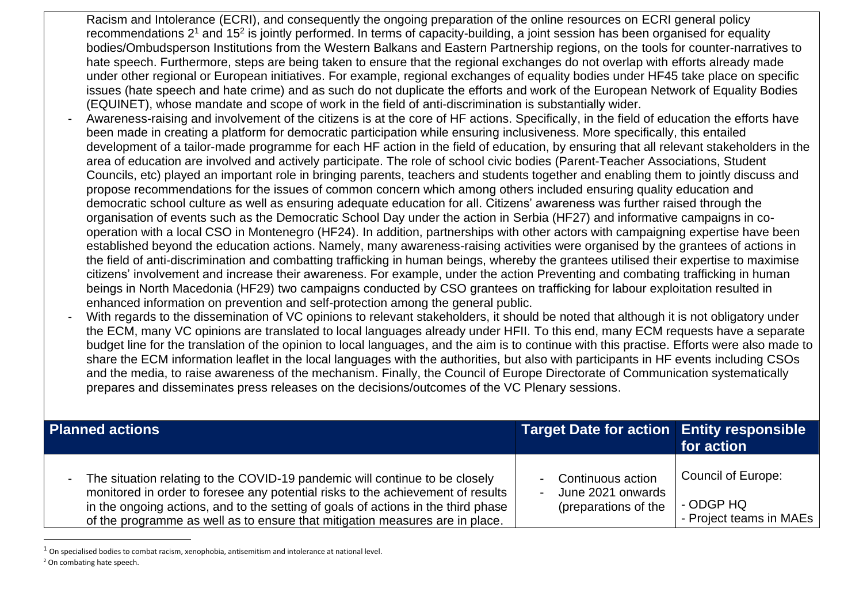- Racism and Intolerance (ECRI), and consequently the ongoing preparation of the online resources on ECRI general policy recommendations  $2^1$  and 15<sup>2</sup> is jointly performed. In terms of capacity-building, a joint session has been organised for equality bodies/Ombudsperson Institutions from the Western Balkans and Eastern Partnership regions, on the tools for counter-narratives to hate speech. Furthermore, steps are being taken to ensure that the regional exchanges do not overlap with efforts already made under other regional or European initiatives. For example, regional exchanges of equality bodies under HF45 take place on specific issues (hate speech and hate crime) and as such do not duplicate the efforts and work of the European Network of Equality Bodies (EQUINET), whose mandate and scope of work in the field of anti-discrimination is substantially wider.
- Awareness-raising and involvement of the citizens is at the core of HF actions. Specifically, in the field of education the efforts have been made in creating a platform for democratic participation while ensuring inclusiveness. More specifically, this entailed development of a tailor-made programme for each HF action in the field of education, by ensuring that all relevant stakeholders in the area of education are involved and actively participate. The role of school civic bodies (Parent-Teacher Associations, Student Councils, etc) played an important role in bringing parents, teachers and students together and enabling them to jointly discuss and propose recommendations for the issues of common concern which among others included ensuring quality education and democratic school culture as well as ensuring adequate education for all. Citizens' awareness was further raised through the organisation of events such as the Democratic School Day under the action in Serbia (HF27) and informative campaigns in cooperation with a local CSO in Montenegro (HF24). In addition, partnerships with other actors with campaigning expertise have been established beyond the education actions. Namely, many awareness-raising activities were organised by the grantees of actions in the field of anti-discrimination and combatting trafficking in human beings, whereby the grantees utilised their expertise to maximise citizens' involvement and increase their awareness. For example, under the action Preventing and combating trafficking in human beings in North Macedonia (HF29) two campaigns conducted by CSO grantees on trafficking for labour exploitation resulted in enhanced information on prevention and self-protection among the general public.
- With regards to the dissemination of VC opinions to relevant stakeholders, it should be noted that although it is not obligatory under the ECM, many VC opinions are translated to local languages already under HFII. To this end, many ECM requests have a separate budget line for the translation of the opinion to local languages, and the aim is to continue with this practise. Efforts were also made to share the ECM information leaflet in the local languages with the authorities, but also with participants in HF events including CSOs and the media, to raise awareness of the mechanism. Finally, the Council of Europe Directorate of Communication systematically prepares and disseminates press releases on the decisions/outcomes of the VC Plenary sessions.

| <b>Planned actions</b>                                                                                                                                                                                                                                                                                                              | Target Date for action Entity responsible                        | for action                                                 |
|-------------------------------------------------------------------------------------------------------------------------------------------------------------------------------------------------------------------------------------------------------------------------------------------------------------------------------------|------------------------------------------------------------------|------------------------------------------------------------|
| The situation relating to the COVID-19 pandemic will continue to be closely<br>monitored in order to foresee any potential risks to the achievement of results<br>in the ongoing actions, and to the setting of goals of actions in the third phase<br>of the programme as well as to ensure that mitigation measures are in place. | - Continuous action<br>June 2021 onwards<br>(preparations of the | Council of Europe:<br>- ODGP HQ<br>- Project teams in MAEs |

 $1$  On specialised bodies to combat racism, xenophobia, antisemitism and intolerance at national level.

<sup>2</sup> On combating hate speech.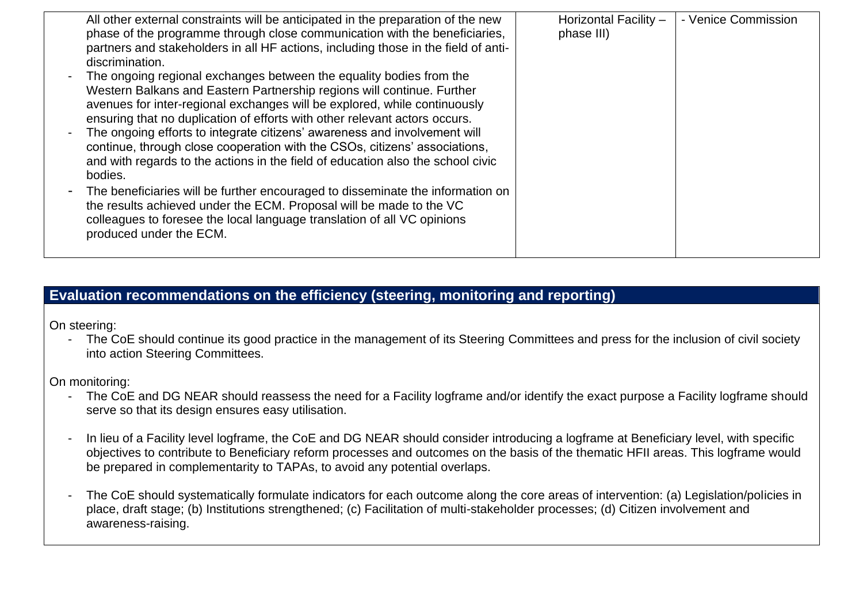| All other external constraints will be anticipated in the preparation of the new<br>phase of the programme through close communication with the beneficiaries, | Horizontal Facility -<br>phase III) | - Venice Commission |
|----------------------------------------------------------------------------------------------------------------------------------------------------------------|-------------------------------------|---------------------|
| partners and stakeholders in all HF actions, including those in the field of anti-<br>discrimination.                                                          |                                     |                     |
| The ongoing regional exchanges between the equality bodies from the                                                                                            |                                     |                     |
| Western Balkans and Eastern Partnership regions will continue. Further<br>avenues for inter-regional exchanges will be explored, while continuously            |                                     |                     |
| ensuring that no duplication of efforts with other relevant actors occurs.                                                                                     |                                     |                     |
| The ongoing efforts to integrate citizens' awareness and involvement will<br>continue, through close cooperation with the CSOs, citizens' associations,        |                                     |                     |
| and with regards to the actions in the field of education also the school civic                                                                                |                                     |                     |
| bodies.                                                                                                                                                        |                                     |                     |
| The beneficiaries will be further encouraged to disseminate the information on                                                                                 |                                     |                     |
| the results achieved under the ECM. Proposal will be made to the VC                                                                                            |                                     |                     |
| colleagues to foresee the local language translation of all VC opinions<br>produced under the ECM.                                                             |                                     |                     |
|                                                                                                                                                                |                                     |                     |

# **Evaluation recommendations on the efficiency (steering, monitoring and reporting)**

On steering:

- The CoE should continue its good practice in the management of its Steering Committees and press for the inclusion of civil society into action Steering Committees.

On monitoring:

- The CoE and DG NEAR should reassess the need for a Facility logframe and/or identify the exact purpose a Facility logframe should serve so that its design ensures easy utilisation.
- In lieu of a Facility level logframe, the CoE and DG NEAR should consider introducing a logframe at Beneficiary level, with specific objectives to contribute to Beneficiary reform processes and outcomes on the basis of the thematic HFII areas. This logframe would be prepared in complementarity to TAPAs, to avoid any potential overlaps.
- The CoE should systematically formulate indicators for each outcome along the core areas of intervention: (a) Legislation/policies in place, draft stage; (b) Institutions strengthened; (c) Facilitation of multi-stakeholder processes; (d) Citizen involvement and awareness-raising.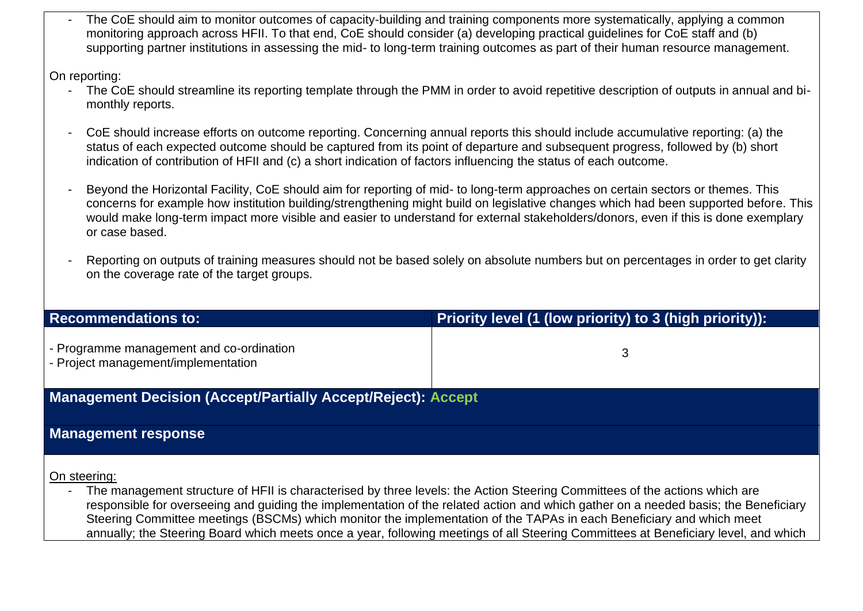The CoE should aim to monitor outcomes of capacity-building and training components more systematically, applying a common monitoring approach across HFII. To that end, CoE should consider (a) developing practical guidelines for CoE staff and (b) supporting partner institutions in assessing the mid- to long-term training outcomes as part of their human resource management.

On reporting:

- The CoE should streamline its reporting template through the PMM in order to avoid repetitive description of outputs in annual and bimonthly reports.
- CoE should increase efforts on outcome reporting. Concerning annual reports this should include accumulative reporting: (a) the status of each expected outcome should be captured from its point of departure and subsequent progress, followed by (b) short indication of contribution of HFII and (c) a short indication of factors influencing the status of each outcome.
- Beyond the Horizontal Facility, CoE should aim for reporting of mid- to long-term approaches on certain sectors or themes. This concerns for example how institution building/strengthening might build on legislative changes which had been supported before. This would make long-term impact more visible and easier to understand for external stakeholders/donors, even if this is done exemplary or case based.
- Reporting on outputs of training measures should not be based solely on absolute numbers but on percentages in order to get clarity on the coverage rate of the target groups.

| <b>Recommendations to:</b>                                                      | Priority level (1 (low priority) to 3 (high priority)): |
|---------------------------------------------------------------------------------|---------------------------------------------------------|
| - Programme management and co-ordination<br>- Project management/implementation | 3                                                       |
| <b>Management Decision (Accept/Partially Accept/Reject): Accept</b>             |                                                         |
| <b>Management response</b>                                                      |                                                         |
|                                                                                 |                                                         |

On steering:

The management structure of HFII is characterised by three levels: the Action Steering Committees of the actions which are responsible for overseeing and guiding the implementation of the related action and which gather on a needed basis; the Beneficiary Steering Committee meetings (BSCMs) which monitor the implementation of the TAPAs in each Beneficiary and which meet annually; the Steering Board which meets once a year, following meetings of all Steering Committees at Beneficiary level, and which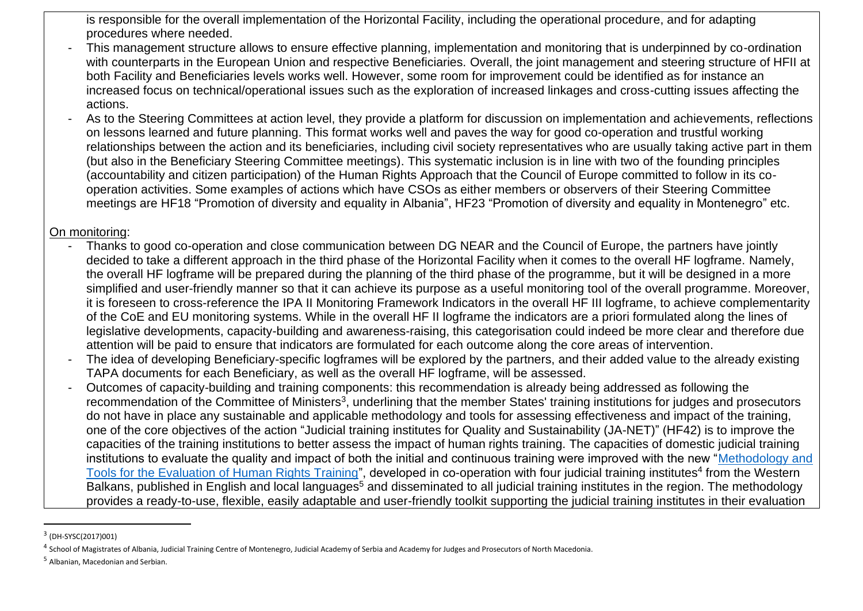is responsible for the overall implementation of the Horizontal Facility, including the operational procedure, and for adapting procedures where needed.

- This management structure allows to ensure effective planning, implementation and monitoring that is underpinned by co-ordination with counterparts in the European Union and respective Beneficiaries. Overall, the joint management and steering structure of HFII at both Facility and Beneficiaries levels works well. However, some room for improvement could be identified as for instance an increased focus on technical/operational issues such as the exploration of increased linkages and cross-cutting issues affecting the actions.
- As to the Steering Committees at action level, they provide a platform for discussion on implementation and achievements, reflections on lessons learned and future planning. This format works well and paves the way for good co-operation and trustful working relationships between the action and its beneficiaries, including civil society representatives who are usually taking active part in them (but also in the Beneficiary Steering Committee meetings). This systematic inclusion is in line with two of the founding principles (accountability and citizen participation) of the Human Rights Approach that the Council of Europe committed to follow in its cooperation activities. Some examples of actions which have CSOs as either members or observers of their Steering Committee meetings are HF18 "Promotion of diversity and equality in Albania", HF23 "Promotion of diversity and equality in Montenegro" etc.

#### On monitoring:

- Thanks to good co-operation and close communication between DG NEAR and the Council of Europe, the partners have jointly decided to take a different approach in the third phase of the Horizontal Facility when it comes to the overall HF logframe. Namely, the overall HF logframe will be prepared during the planning of the third phase of the programme, but it will be designed in a more simplified and user-friendly manner so that it can achieve its purpose as a useful monitoring tool of the overall programme. Moreover, it is foreseen to cross-reference the IPA II Monitoring Framework Indicators in the overall HF III logframe, to achieve complementarity of the CoE and EU monitoring systems. While in the overall HF II logframe the indicators are a priori formulated along the lines of legislative developments, capacity-building and awareness-raising, this categorisation could indeed be more clear and therefore due attention will be paid to ensure that indicators are formulated for each outcome along the core areas of intervention.
- The idea of developing Beneficiary-specific logframes will be explored by the partners, and their added value to the already existing TAPA documents for each Beneficiary, as well as the overall HF logframe, will be assessed.
- Outcomes of capacity-building and training components: this recommendation is already being addressed as following the recommendation of the Committee of Ministers<sup>3</sup>, underlining that the member States' training institutions for judges and prosecutors do not have in place any sustainable and applicable methodology and tools for assessing effectiveness and impact of the training, one of the core objectives of the action "Judicial training institutes for Quality and Sustainability (JA-NET)" (HF42) is to improve the capacities of the training institutions to better assess the impact of human rights training. The capacities of domestic judicial training institutions to evaluate the quality and impact of both the initial and continuous training were improved with the new ["Methodology and](https://rm.coe.int/methodology-for-evaluation-of-hr-training-eng-/1680a2732f)  [Tools for the Evaluation of Human Rights Training"](https://rm.coe.int/methodology-for-evaluation-of-hr-training-eng-/1680a2732f), developed in co-operation with four judicial training institutes<sup>4</sup> from the Western Balkans, published in English and local languages<sup>5</sup> and disseminated to all judicial training institutes in the region. The methodology provides a ready-to-use, flexible, easily adaptable and user-friendly toolkit supporting the judicial training institutes in their evaluation

<sup>&</sup>lt;sup>3</sup> (DH-SYSC(2017)001)

<sup>&</sup>lt;sup>4</sup> School of Magistrates of Albania, Judicial Training Centre of Montenegro, Judicial Academy of Serbia and Academy for Judges and Prosecutors of North Macedonia.

<sup>5</sup> Albanian, Macedonian and Serbian.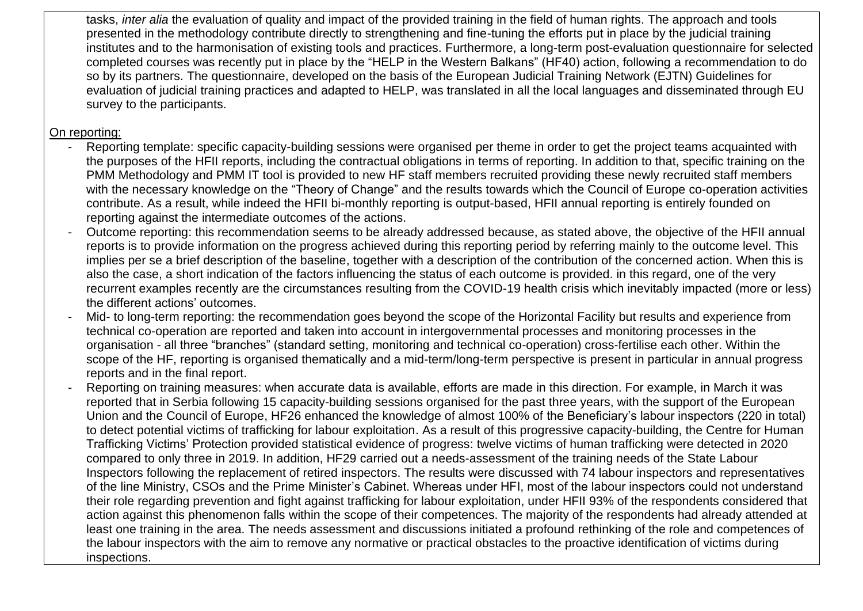tasks, *inter alia* the evaluation of quality and impact of the provided training in the field of human rights. The approach and tools presented in the methodology contribute directly to strengthening and fine-tuning the efforts put in place by the judicial training institutes and to the harmonisation of existing tools and practices. Furthermore, a long-term post-evaluation questionnaire for selected completed courses was recently put in place by the "HELP in the Western Balkans" (HF40) action, following a recommendation to do so by its partners. The questionnaire, developed on the basis of the European Judicial Training Network (EJTN) Guidelines for evaluation of judicial training practices and adapted to HELP, was translated in all the local languages and disseminated through EU survey to the participants.

#### On reporting:

- Reporting template: specific capacity-building sessions were organised per theme in order to get the project teams acquainted with the purposes of the HFII reports, including the contractual obligations in terms of reporting. In addition to that, specific training on the PMM Methodology and PMM IT tool is provided to new HF staff members recruited providing these newly recruited staff members with the necessary knowledge on the "Theory of Change" and the results towards which the Council of Europe co-operation activities contribute. As a result, while indeed the HFII bi-monthly reporting is output-based, HFII annual reporting is entirely founded on reporting against the intermediate outcomes of the actions.
- Outcome reporting: this recommendation seems to be already addressed because, as stated above, the objective of the HFII annual reports is to provide information on the progress achieved during this reporting period by referring mainly to the outcome level. This implies per se a brief description of the baseline, together with a description of the contribution of the concerned action. When this is also the case, a short indication of the factors influencing the status of each outcome is provided. in this regard, one of the very recurrent examples recently are the circumstances resulting from the COVID-19 health crisis which inevitably impacted (more or less) the different actions' outcomes.
- Mid- to long-term reporting: the recommendation goes beyond the scope of the Horizontal Facility but results and experience from technical co-operation are reported and taken into account in intergovernmental processes and monitoring processes in the organisation - all three "branches" (standard setting, monitoring and technical co-operation) cross-fertilise each other. Within the scope of the HF, reporting is organised thematically and a mid-term/long-term perspective is present in particular in annual progress reports and in the final report.
- Reporting on training measures: when accurate data is available, efforts are made in this direction. For example, in March it was reported that in Serbia following 15 capacity-building sessions organised for the past three years, with the support of the European Union and the Council of Europe, HF26 enhanced the knowledge of almost 100% of the Beneficiary's labour inspectors (220 in total) to detect potential victims of trafficking for labour exploitation. As a result of this progressive capacity-building, the Centre for Human Trafficking Victims' Protection provided statistical evidence of progress: twelve victims of human trafficking were detected in 2020 compared to only three in 2019. In addition, HF29 carried out a needs-assessment of the training needs of the State Labour Inspectors following the replacement of retired inspectors. The results were discussed with 74 labour inspectors and representatives of the line Ministry, CSOs and the Prime Minister's Cabinet. Whereas under HFI, most of the labour inspectors could not understand their role regarding prevention and fight against trafficking for labour exploitation, under HFII 93% of the respondents considered that action against this phenomenon falls within the scope of their competences. The majority of the respondents had already attended at least one training in the area. The needs assessment and discussions initiated a profound rethinking of the role and competences of the labour inspectors with the aim to remove any normative or practical obstacles to the proactive identification of victims during inspections.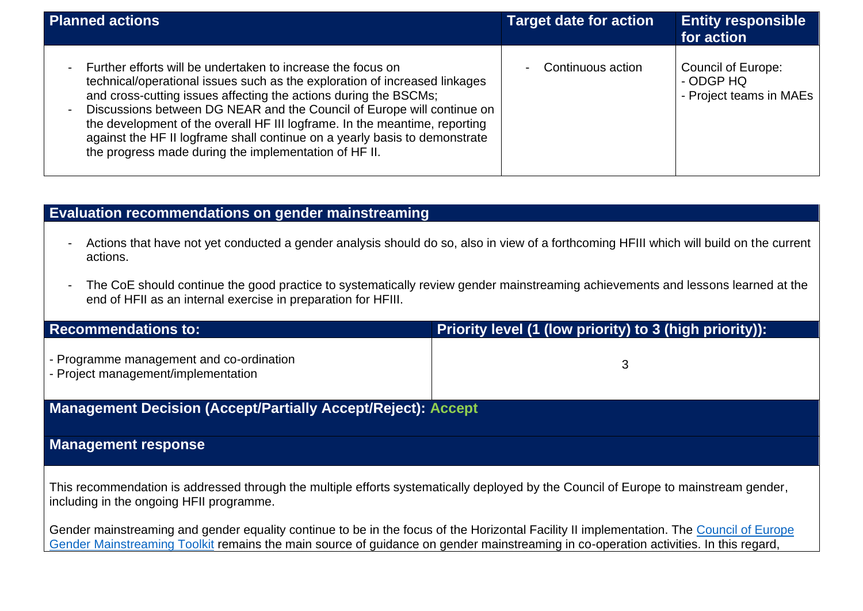| <b>Planned actions</b>                                                                                                                                                                                                                                                                                                                                                                                                                                                                                                         | <b>Target date for action</b>                 | <b>Entity responsible</b><br>for action                           |
|--------------------------------------------------------------------------------------------------------------------------------------------------------------------------------------------------------------------------------------------------------------------------------------------------------------------------------------------------------------------------------------------------------------------------------------------------------------------------------------------------------------------------------|-----------------------------------------------|-------------------------------------------------------------------|
| Further efforts will be undertaken to increase the focus on<br>technical/operational issues such as the exploration of increased linkages<br>and cross-cutting issues affecting the actions during the BSCMs;<br>Discussions between DG NEAR and the Council of Europe will continue on<br>$\blacksquare$<br>the development of the overall HF III logframe. In the meantime, reporting<br>against the HF II logframe shall continue on a yearly basis to demonstrate<br>the progress made during the implementation of HF II. | Continuous action<br>$\overline{\phantom{0}}$ | <b>Council of Europe:</b><br>- ODGP HQ<br>- Project teams in MAEs |

# **Evaluation recommendations on gender mainstreaming**

- Actions that have not yet conducted a gender analysis should do so, also in view of a forthcoming HFIII which will build on the current actions.
- The CoE should continue the good practice to systematically review gender mainstreaming achievements and lessons learned at the end of HFII as an internal exercise in preparation for HFIII.

| <b>Recommendations to:</b>                                                      | Priority level (1 (low priority) to 3 (high priority)): |  |
|---------------------------------------------------------------------------------|---------------------------------------------------------|--|
| - Programme management and co-ordination<br>- Project management/implementation |                                                         |  |
| <b>Management Decision (Accept/Partially Accept/Reject): Accept</b>             |                                                         |  |

## **Management response**

This recommendation is addressed through the multiple efforts systematically deployed by the Council of Europe to mainstream gender, including in the ongoing HFII programme.

Gender mainstreaming and gender equality continue to be in the focus of the Horizontal Facility II implementation. The [Council of Europe](https://www.coe.int/en/web/project-management-methodology/-/gender-mainstreaming-toolkit-for-cooperati-1)  [Gender Mainstreaming Toolkit](https://www.coe.int/en/web/project-management-methodology/-/gender-mainstreaming-toolkit-for-cooperati-1) remains the main source of guidance on gender mainstreaming in co-operation activities. In this regard,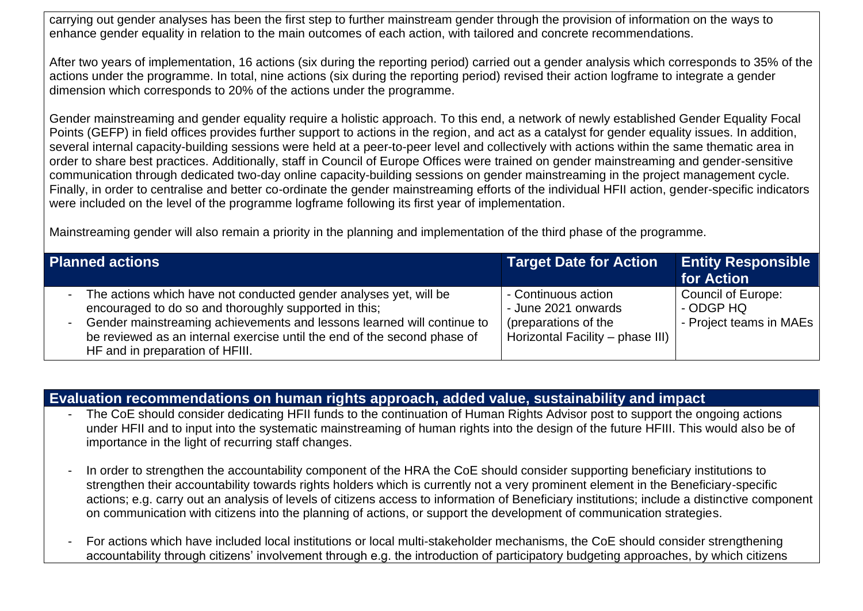carrying out gender analyses has been the first step to further mainstream gender through the provision of information on the ways to enhance gender equality in relation to the main outcomes of each action, with tailored and concrete recommendations.

After two years of implementation, 16 actions (six during the reporting period) carried out a gender analysis which corresponds to 35% of the actions under the programme. In total, nine actions (six during the reporting period) revised their action logframe to integrate a gender dimension which corresponds to 20% of the actions under the programme.

Gender mainstreaming and gender equality require a holistic approach. To this end, a network of newly established Gender Equality Focal Points (GEFP) in field offices provides further support to actions in the region, and act as a catalyst for gender equality issues. In addition, several internal capacity-building sessions were held at a peer-to-peer level and collectively with actions within the same thematic area in order to share best practices. Additionally, staff in Council of Europe Offices were trained on gender mainstreaming and gender-sensitive communication through dedicated two-day online capacity-building sessions on gender mainstreaming in the project management cycle. Finally, in order to centralise and better co-ordinate the gender mainstreaming efforts of the individual HFII action, gender-specific indicators were included on the level of the programme logframe following its first year of implementation.

Mainstreaming gender will also remain a priority in the planning and implementation of the third phase of the programme.

| <b>Planned actions</b>                                                                                                                                                                                                                                                                                                          | <b>Target Date for Action</b>                                                                          | <b>Entity Responsible</b><br>for Action                    |
|---------------------------------------------------------------------------------------------------------------------------------------------------------------------------------------------------------------------------------------------------------------------------------------------------------------------------------|--------------------------------------------------------------------------------------------------------|------------------------------------------------------------|
| The actions which have not conducted gender analyses yet, will be<br>$\sim$<br>encouraged to do so and thoroughly supported in this;<br>- Gender mainstreaming achievements and lessons learned will continue to<br>be reviewed as an internal exercise until the end of the second phase of<br>HF and in preparation of HFIII. | - Continuous action<br>- June 2021 onwards<br>(preparations of the<br>Horizontal Facility - phase III) | Council of Europe:<br>- ODGP HQ<br>- Project teams in MAEs |

**Evaluation recommendations on human rights approach, added value, sustainability and impact**

- The CoE should consider dedicating HFII funds to the continuation of Human Rights Advisor post to support the ongoing actions under HFII and to input into the systematic mainstreaming of human rights into the design of the future HFIII. This would also be of importance in the light of recurring staff changes.
- In order to strengthen the accountability component of the HRA the CoE should consider supporting beneficiary institutions to strengthen their accountability towards rights holders which is currently not a very prominent element in the Beneficiary-specific actions; e.g. carry out an analysis of levels of citizens access to information of Beneficiary institutions; include a distinctive component on communication with citizens into the planning of actions, or support the development of communication strategies.
- For actions which have included local institutions or local multi-stakeholder mechanisms, the CoE should consider strengthening accountability through citizens' involvement through e.g. the introduction of participatory budgeting approaches, by which citizens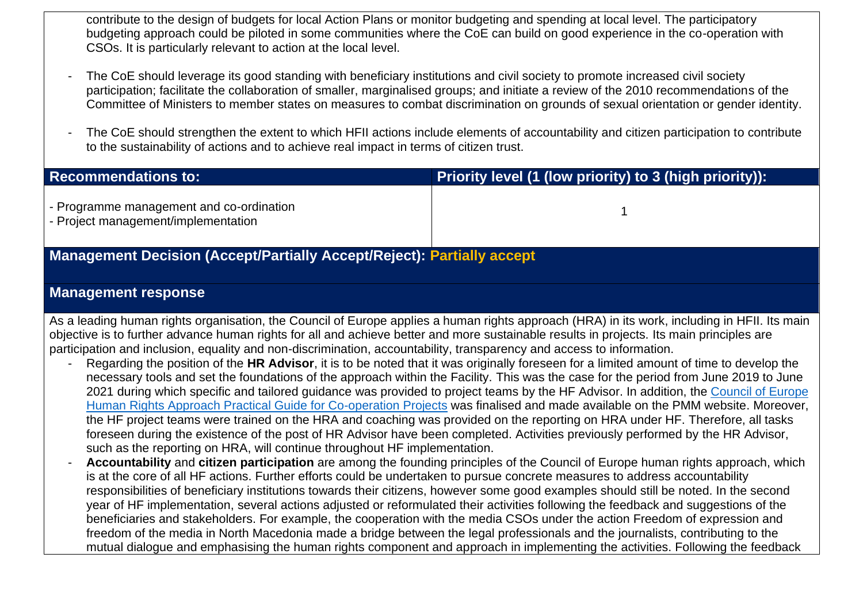contribute to the design of budgets for local Action Plans or monitor budgeting and spending at local level. The participatory budgeting approach could be piloted in some communities where the CoE can build on good experience in the co-operation with CSOs. It is particularly relevant to action at the local level.

- The CoE should leverage its good standing with beneficiary institutions and civil society to promote increased civil society participation; facilitate the collaboration of smaller, marginalised groups; and initiate a review of the 2010 recommendations of the Committee of Ministers to member states on measures to combat discrimination on grounds of sexual orientation or gender identity.
- The CoE should strengthen the extent to which HFII actions include elements of accountability and citizen participation to contribute to the sustainability of actions and to achieve real impact in terms of citizen trust.

| <b>Recommendations to:</b>                                                      | Priority level (1 (low priority) to 3 (high priority)): |  |
|---------------------------------------------------------------------------------|---------------------------------------------------------|--|
| - Programme management and co-ordination<br>- Project management/implementation |                                                         |  |
| <b>Management Decision (Accept/Partially Accept/Reject): Partially accept</b>   |                                                         |  |
|                                                                                 |                                                         |  |

#### **Management response**

As a leading human rights organisation, the Council of Europe applies a human rights approach (HRA) in its work, including in HFII. Its main objective is to further advance human rights for all and achieve better and more sustainable results in projects. Its main principles are participation and inclusion, equality and non-discrimination, accountability, transparency and access to information.

- Regarding the position of the **HR Advisor**, it is to be noted that it was originally foreseen for a limited amount of time to develop the necessary tools and set the foundations of the approach within the Facility. This was the case for the period from June 2019 to June 2021 during which specific and tailored guidance was provided to project teams by the HF Advisor. In addition, the Council of Europe [Human Rights Approach Practical Guide for Co-operation Projects](https://www.coe.int/en/group/project-management-methodology/human-rights-approach-practical-guide) was finalised and made available on the PMM website. Moreover, the HF project teams were trained on the HRA and coaching was provided on the reporting on HRA under HF. Therefore, all tasks foreseen during the existence of the post of HR Advisor have been completed. Activities previously performed by the HR Advisor, such as the reporting on HRA, will continue throughout HF implementation.
- **Accountability** and **citizen participation** are among the founding principles of the Council of Europe human rights approach, which is at the core of all HF actions. Further efforts could be undertaken to pursue concrete measures to address accountability responsibilities of beneficiary institutions towards their citizens, however some good examples should still be noted. In the second year of HF implementation, several actions adjusted or reformulated their activities following the feedback and suggestions of the beneficiaries and stakeholders. For example, the cooperation with the media CSOs under the action Freedom of expression and freedom of the media in North Macedonia made a bridge between the legal professionals and the journalists, contributing to the mutual dialogue and emphasising the human rights component and approach in implementing the activities. Following the feedback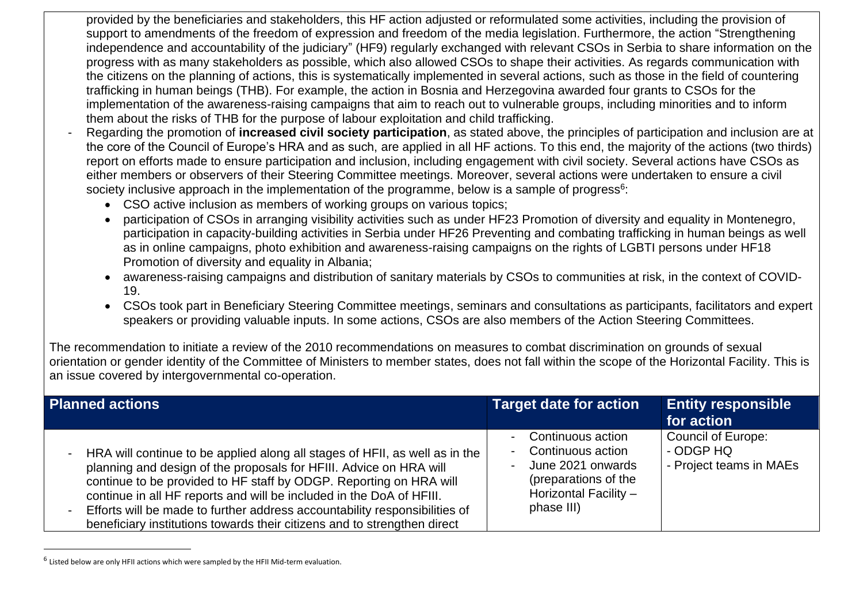provided by the beneficiaries and stakeholders, this HF action adjusted or reformulated some activities, including the provision of support to amendments of the freedom of expression and freedom of the media legislation. Furthermore, the action "Strengthening independence and accountability of the judiciary" (HF9) regularly exchanged with relevant CSOs in Serbia to share information on the progress with as many stakeholders as possible, which also allowed CSOs to shape their activities. As regards communication with the citizens on the planning of actions, this is systematically implemented in several actions, such as those in the field of countering trafficking in human beings (THB). For example, the action in Bosnia and Herzegovina awarded four grants to CSOs for the implementation of the awareness-raising campaigns that aim to reach out to vulnerable groups, including minorities and to inform them about the risks of THB for the purpose of labour exploitation and child trafficking.

- Regarding the promotion of **increased civil society participation**, as stated above, the principles of participation and inclusion are at the core of the Council of Europe's HRA and as such, are applied in all HF actions. To this end, the majority of the actions (two thirds) report on efforts made to ensure participation and inclusion, including engagement with civil society. Several actions have CSOs as either members or observers of their Steering Committee meetings. Moreover, several actions were undertaken to ensure a civil society inclusive approach in the implementation of the programme, below is a sample of progress<sup>6</sup>:
	- CSO active inclusion as members of working groups on various topics;
	- participation of CSOs in arranging visibility activities such as under HF23 Promotion of diversity and equality in Montenegro, participation in capacity-building activities in Serbia under HF26 Preventing and combating trafficking in human beings as well as in online campaigns, photo exhibition and awareness-raising campaigns on the rights of LGBTI persons under HF18 Promotion of diversity and equality in Albania;
	- awareness-raising campaigns and distribution of sanitary materials by CSOs to communities at risk, in the context of COVID-19.
	- CSOs took part in Beneficiary Steering Committee meetings, seminars and consultations as participants, facilitators and expert speakers or providing valuable inputs. In some actions, CSOs are also members of the Action Steering Committees.

The recommendation to initiate a review of the 2010 recommendations on measures to combat discrimination on grounds of sexual orientation or gender identity of the Committee of Ministers to member states, does not fall within the scope of the Horizontal Facility. This is an issue covered by intergovernmental co-operation.

| <b>Planned actions</b>                                                                                                                                                                                                                                                                                                                                                                                                                                    | <b>Target date for action</b>                                                                                              | <b>Entity responsible</b><br>for action                           |
|-----------------------------------------------------------------------------------------------------------------------------------------------------------------------------------------------------------------------------------------------------------------------------------------------------------------------------------------------------------------------------------------------------------------------------------------------------------|----------------------------------------------------------------------------------------------------------------------------|-------------------------------------------------------------------|
| HRA will continue to be applied along all stages of HFII, as well as in the<br>planning and design of the proposals for HFIII. Advice on HRA will<br>continue to be provided to HF staff by ODGP. Reporting on HRA will<br>continue in all HF reports and will be included in the DoA of HFIII.<br>Efforts will be made to further address accountability responsibilities of<br>beneficiary institutions towards their citizens and to strengthen direct | Continuous action<br>Continuous action<br>June 2021 onwards<br>(preparations of the<br>Horizontal Facility -<br>phase III) | <b>Council of Europe:</b><br>- ODGP HQ<br>- Project teams in MAEs |

 $^6$  Listed below are only HFII actions which were sampled by the HFII Mid-term evaluation.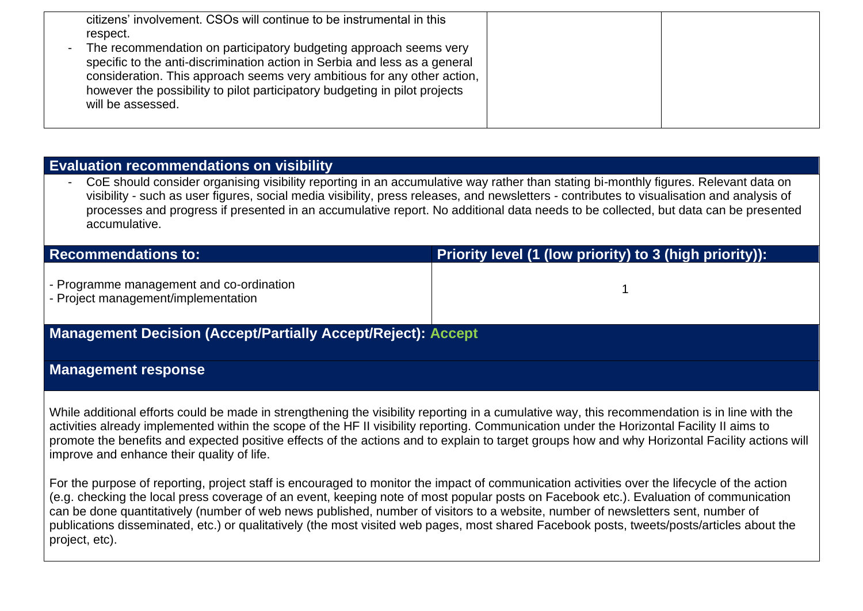| citizens' involvement. CSOs will continue to be instrumental in this<br>respect.<br>The recommendation on participatory budgeting approach seems very<br>specific to the anti-discrimination action in Serbia and less as a general<br>consideration. This approach seems very ambitious for any other action,<br>however the possibility to pilot participatory budgeting in pilot projects<br>will be assessed. |  |
|-------------------------------------------------------------------------------------------------------------------------------------------------------------------------------------------------------------------------------------------------------------------------------------------------------------------------------------------------------------------------------------------------------------------|--|
|-------------------------------------------------------------------------------------------------------------------------------------------------------------------------------------------------------------------------------------------------------------------------------------------------------------------------------------------------------------------------------------------------------------------|--|

## **Evaluation recommendations on visibility**

CoE should consider organising visibility reporting in an accumulative way rather than stating bi-monthly figures. Relevant data on visibility - such as user figures, social media visibility, press releases, and newsletters - contributes to visualisation and analysis of processes and progress if presented in an accumulative report. No additional data needs to be collected, but data can be presented accumulative.

| <b>Recommendations to:</b>                                                      | Priority level (1 (low priority) to 3 (high priority)): |  |
|---------------------------------------------------------------------------------|---------------------------------------------------------|--|
| - Programme management and co-ordination<br>- Project management/implementation |                                                         |  |
| <b>Management Decision (Accept/Partially Accept/Reject): Accept</b>             |                                                         |  |

## **Management response**

While additional efforts could be made in strengthening the visibility reporting in a cumulative way, this recommendation is in line with the activities already implemented within the scope of the HF II visibility reporting. Communication under the Horizontal Facility II aims to promote the benefits and expected positive effects of the actions and to explain to target groups how and why Horizontal Facility actions will improve and enhance their quality of life.

For the purpose of reporting, project staff is encouraged to monitor the impact of communication activities over the lifecycle of the action (e.g. checking the local press coverage of an event, keeping note of most popular posts on Facebook etc.). Evaluation of communication can be done quantitatively (number of web news published, number of visitors to a website, number of newsletters sent, number of publications disseminated, etc.) or qualitatively (the most visited web pages, most shared Facebook posts, tweets/posts/articles about the project, etc).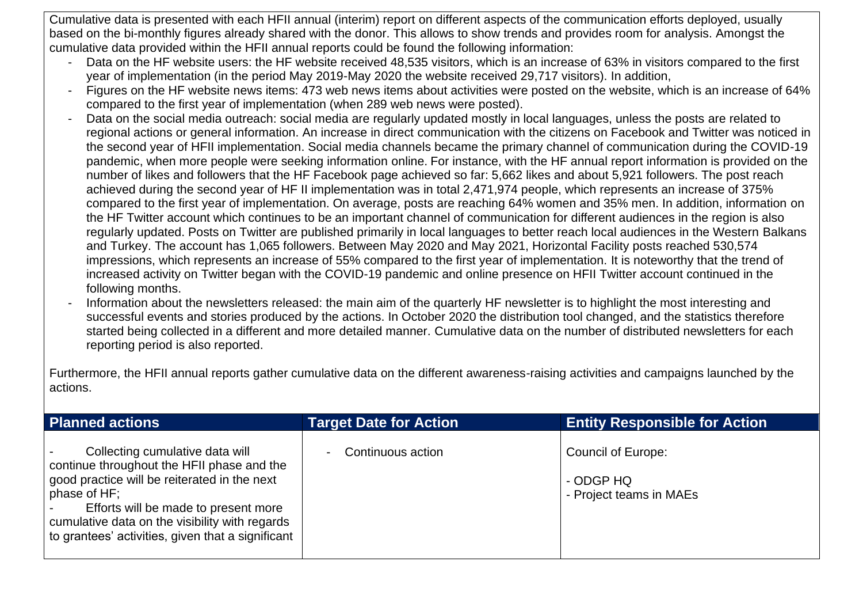Cumulative data is presented with each HFII annual (interim) report on different aspects of the communication efforts deployed, usually based on the bi-monthly figures already shared with the donor. This allows to show trends and provides room for analysis. Amongst the cumulative data provided within the HFII annual reports could be found the following information:

- Data on the HF website users: the HF website received 48,535 visitors, which is an increase of 63% in visitors compared to the first year of implementation (in the period May 2019-May 2020 the website received 29,717 visitors). In addition,
- Figures on the HF website news items: 473 web news items about activities were posted on the website, which is an increase of 64% compared to the first year of implementation (when 289 web news were posted).
- Data on the social media outreach: social media are regularly updated mostly in local languages, unless the posts are related to regional actions or general information. An increase in direct communication with the citizens on Facebook and Twitter was noticed in the second year of HFII implementation. Social media channels became the primary channel of communication during the COVID-19 pandemic, when more people were seeking information online. For instance, with the HF annual report information is provided on the number of likes and followers that the HF Facebook page achieved so far: 5,662 likes and about 5,921 followers. The post reach achieved during the second year of HF II implementation was in total 2,471,974 people, which represents an increase of 375% compared to the first year of implementation. On average, posts are reaching 64% women and 35% men. In addition, information on the HF Twitter account which continues to be an important channel of communication for different audiences in the region is also regularly updated. Posts on Twitter are published primarily in local languages to better reach local audiences in the Western Balkans and Turkey. The account has 1,065 followers. Between May 2020 and May 2021, Horizontal Facility posts reached 530,574 impressions, which represents an increase of 55% compared to the first year of implementation. It is noteworthy that the trend of increased activity on Twitter began with the COVID-19 pandemic and online presence on HFII Twitter account continued in the following months.
- Information about the newsletters released: the main aim of the quarterly HF newsletter is to highlight the most interesting and successful events and stories produced by the actions. In October 2020 the distribution tool changed, and the statistics therefore started being collected in a different and more detailed manner. Cumulative data on the number of distributed newsletters for each reporting period is also reported.

Furthermore, the HFII annual reports gather cumulative data on the different awareness-raising activities and campaigns launched by the actions.

| <b>Planned actions</b>                                                                                                                                                                                                                                                                       | <b>Target Date for Action</b>       | <b>Entity Responsible for Action</b>                              |
|----------------------------------------------------------------------------------------------------------------------------------------------------------------------------------------------------------------------------------------------------------------------------------------------|-------------------------------------|-------------------------------------------------------------------|
| Collecting cumulative data will<br>continue throughout the HFII phase and the<br>good practice will be reiterated in the next<br>phase of HF;<br>Efforts will be made to present more<br>cumulative data on the visibility with regards<br>to grantees' activities, given that a significant | Continuous action<br>$\blacksquare$ | <b>Council of Europe:</b><br>- ODGP HQ<br>- Project teams in MAEs |